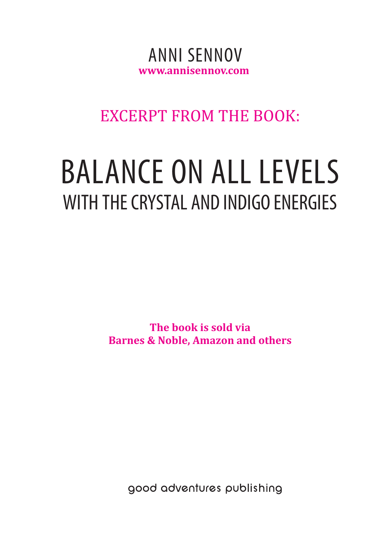### **www.annisennov.com** ANNI SENNOV

### EXCERPT FROM THE BOOK:

# BALANCE ON ALL LEVELS WITH THE CRYSTAL AND INDIGO ENERGIES

**The book is sold via Barnes & Noble, Amazon and others**

good adventures publishing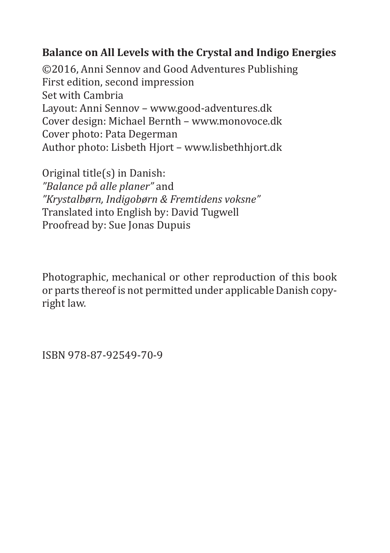#### **Balance on All Levels with the Crystal and Indigo Energies**

©2016, Anni Sennov and Good Adventures Publishing First edition, second impression Set with Cambria Layout: Anni Sennov – www.good-adventures.dk Cover design: Michael Bernth – www.monovoce.dk Cover photo: Pata Degerman Author photo: Lisbeth Hjort – www.lisbethhjort.dk

Original title(s) in Danish: *"Balance på alle planer"* and *"Krystalbørn, Indigobørn & Fremtidens voksne"* Translated into English by: David Tugwell Proofread by: Sue Jonas Dupuis

Photographic, mechanical or other reproduction of this book or parts thereof is not permitted under applicable Danish copyright law.

ISBN 978-87-92549-70-9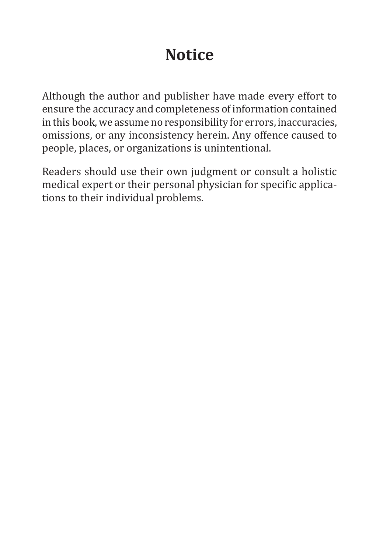### **Notice**

Although the author and publisher have made every effort to ensure the accuracy and completeness of information contained in this book, we assume no responsibility for errors, inaccuracies, omissions, or any inconsistency herein. Any offence caused to people, places, or organizations is unintentional.

Readers should use their own judgment or consult a holistic medical expert or their personal physician for specific applications to their individual problems.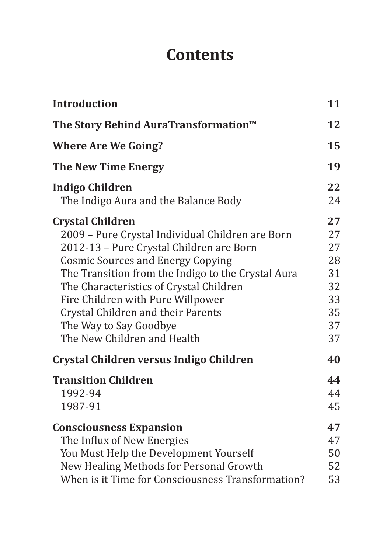### **Contents**

| <b>Introduction</b>                                | 11 |
|----------------------------------------------------|----|
| The Story Behind AuraTransformation™               | 12 |
| <b>Where Are We Going?</b>                         | 15 |
| <b>The New Time Energy</b>                         | 19 |
| <b>Indigo Children</b>                             | 22 |
| The Indigo Aura and the Balance Body               | 24 |
| <b>Crystal Children</b>                            | 27 |
| 2009 - Pure Crystal Individual Children are Born   | 27 |
| 2012-13 - Pure Crystal Children are Born           | 27 |
| <b>Cosmic Sources and Energy Copying</b>           | 28 |
| The Transition from the Indigo to the Crystal Aura | 31 |
| The Characteristics of Crystal Children            | 32 |
| Fire Children with Pure Willpower                  | 33 |
| Crystal Children and their Parents                 | 35 |
| The Way to Say Goodbye                             | 37 |
| The New Children and Health                        | 37 |
| Crystal Children versus Indigo Children            | 40 |
| <b>Transition Children</b>                         | 44 |
| 1992-94                                            | 44 |
| 1987-91                                            | 45 |
| <b>Consciousness Expansion</b>                     | 47 |
| The Influx of New Energies                         | 47 |
| You Must Help the Development Yourself             | 50 |
| New Healing Methods for Personal Growth            | 52 |
| When is it Time for Consciousness Transformation?  | 53 |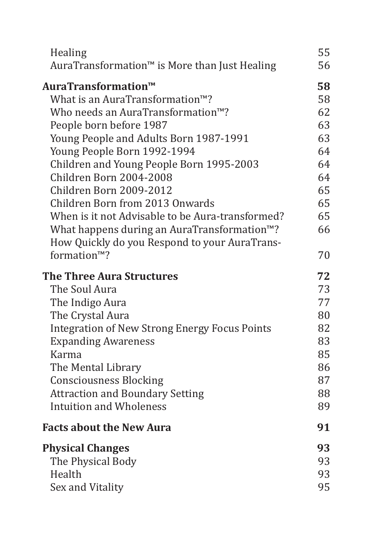| Healing                                                   | 55 |
|-----------------------------------------------------------|----|
| AuraTransformation <sup>™</sup> is More than Just Healing | 56 |
| AuraTransformation™                                       | 58 |
| What is an AuraTransformation <sup>™?</sup>               | 58 |
| Who needs an AuraTransformation <sup>™</sup> ?            | 62 |
| People born before 1987                                   | 63 |
| Young People and Adults Born 1987-1991                    | 63 |
| Young People Born 1992-1994                               | 64 |
| Children and Young People Born 1995-2003                  | 64 |
| Children Born 2004-2008                                   | 64 |
| Children Born 2009-2012                                   | 65 |
| Children Born from 2013 Onwards                           | 65 |
| When is it not Advisable to be Aura-transformed?          | 65 |
| What happens during an AuraTransformation <sup>™?</sup>   | 66 |
| How Quickly do you Respond to your AuraTrans-             |    |
| formation <sup>™?</sup>                                   | 70 |
| <b>The Three Aura Structures</b>                          | 72 |
| The Soul Aura                                             | 73 |
| The Indigo Aura                                           | 77 |
| The Crystal Aura                                          | 80 |
| <b>Integration of New Strong Energy Focus Points</b>      | 82 |
| <b>Expanding Awareness</b>                                | 83 |
| Karma                                                     | 85 |
| The Mental Library                                        | 86 |
| <b>Consciousness Blocking</b>                             | 87 |
| <b>Attraction and Boundary Setting</b>                    | 88 |
| <b>Intuition and Wholeness</b>                            | 89 |
| <b>Facts about the New Aura</b>                           | 91 |
| <b>Physical Changes</b>                                   | 93 |
| The Physical Body                                         | 93 |
| Health                                                    | 93 |
| Sex and Vitality                                          | 95 |
|                                                           |    |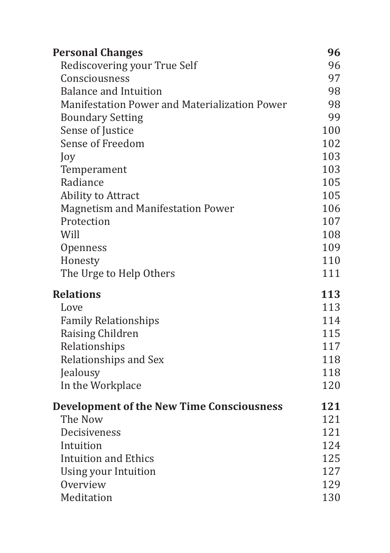| Rediscovering your True Self<br>96<br>97<br>Consciousness<br><b>Balance and Intuition</b><br>98<br>Manifestation Power and Materialization Power<br>98<br>99<br><b>Boundary Setting</b><br>100<br>Sense of Justice<br>Sense of Freedom<br>102<br>103<br>Joy<br>103<br>Temperament<br>Radiance<br>105<br>105<br>Ability to Attract<br>106<br>Magnetism and Manifestation Power<br>Protection<br>107<br>Will<br>108<br>109<br>Openness<br>110<br>Honesty<br>The Urge to Help Others<br>111<br><b>Relations</b><br>113<br>113<br>Love<br>114<br><b>Family Relationships</b><br>115<br>Raising Children<br>Relationships<br>117<br>Relationships and Sex<br>118<br>118<br>Jealousy<br>120<br>In the Workplace<br>121<br><b>Development of the New Time Consciousness</b><br>The Now<br>121<br>121<br>Decisiveness<br>124<br>Intuition<br>125<br><b>Intuition and Ethics</b><br>127<br>Using your Intuition<br>129<br>Overview | <b>Personal Changes</b> | 96  |
|---------------------------------------------------------------------------------------------------------------------------------------------------------------------------------------------------------------------------------------------------------------------------------------------------------------------------------------------------------------------------------------------------------------------------------------------------------------------------------------------------------------------------------------------------------------------------------------------------------------------------------------------------------------------------------------------------------------------------------------------------------------------------------------------------------------------------------------------------------------------------------------------------------------------------|-------------------------|-----|
|                                                                                                                                                                                                                                                                                                                                                                                                                                                                                                                                                                                                                                                                                                                                                                                                                                                                                                                           |                         |     |
|                                                                                                                                                                                                                                                                                                                                                                                                                                                                                                                                                                                                                                                                                                                                                                                                                                                                                                                           |                         |     |
|                                                                                                                                                                                                                                                                                                                                                                                                                                                                                                                                                                                                                                                                                                                                                                                                                                                                                                                           |                         |     |
|                                                                                                                                                                                                                                                                                                                                                                                                                                                                                                                                                                                                                                                                                                                                                                                                                                                                                                                           |                         |     |
|                                                                                                                                                                                                                                                                                                                                                                                                                                                                                                                                                                                                                                                                                                                                                                                                                                                                                                                           |                         |     |
|                                                                                                                                                                                                                                                                                                                                                                                                                                                                                                                                                                                                                                                                                                                                                                                                                                                                                                                           |                         |     |
|                                                                                                                                                                                                                                                                                                                                                                                                                                                                                                                                                                                                                                                                                                                                                                                                                                                                                                                           |                         |     |
|                                                                                                                                                                                                                                                                                                                                                                                                                                                                                                                                                                                                                                                                                                                                                                                                                                                                                                                           |                         |     |
|                                                                                                                                                                                                                                                                                                                                                                                                                                                                                                                                                                                                                                                                                                                                                                                                                                                                                                                           |                         |     |
|                                                                                                                                                                                                                                                                                                                                                                                                                                                                                                                                                                                                                                                                                                                                                                                                                                                                                                                           |                         |     |
|                                                                                                                                                                                                                                                                                                                                                                                                                                                                                                                                                                                                                                                                                                                                                                                                                                                                                                                           |                         |     |
|                                                                                                                                                                                                                                                                                                                                                                                                                                                                                                                                                                                                                                                                                                                                                                                                                                                                                                                           |                         |     |
|                                                                                                                                                                                                                                                                                                                                                                                                                                                                                                                                                                                                                                                                                                                                                                                                                                                                                                                           |                         |     |
|                                                                                                                                                                                                                                                                                                                                                                                                                                                                                                                                                                                                                                                                                                                                                                                                                                                                                                                           |                         |     |
|                                                                                                                                                                                                                                                                                                                                                                                                                                                                                                                                                                                                                                                                                                                                                                                                                                                                                                                           |                         |     |
|                                                                                                                                                                                                                                                                                                                                                                                                                                                                                                                                                                                                                                                                                                                                                                                                                                                                                                                           |                         |     |
|                                                                                                                                                                                                                                                                                                                                                                                                                                                                                                                                                                                                                                                                                                                                                                                                                                                                                                                           |                         |     |
|                                                                                                                                                                                                                                                                                                                                                                                                                                                                                                                                                                                                                                                                                                                                                                                                                                                                                                                           |                         |     |
|                                                                                                                                                                                                                                                                                                                                                                                                                                                                                                                                                                                                                                                                                                                                                                                                                                                                                                                           |                         |     |
|                                                                                                                                                                                                                                                                                                                                                                                                                                                                                                                                                                                                                                                                                                                                                                                                                                                                                                                           |                         |     |
|                                                                                                                                                                                                                                                                                                                                                                                                                                                                                                                                                                                                                                                                                                                                                                                                                                                                                                                           |                         |     |
|                                                                                                                                                                                                                                                                                                                                                                                                                                                                                                                                                                                                                                                                                                                                                                                                                                                                                                                           |                         |     |
|                                                                                                                                                                                                                                                                                                                                                                                                                                                                                                                                                                                                                                                                                                                                                                                                                                                                                                                           |                         |     |
|                                                                                                                                                                                                                                                                                                                                                                                                                                                                                                                                                                                                                                                                                                                                                                                                                                                                                                                           |                         |     |
|                                                                                                                                                                                                                                                                                                                                                                                                                                                                                                                                                                                                                                                                                                                                                                                                                                                                                                                           |                         |     |
|                                                                                                                                                                                                                                                                                                                                                                                                                                                                                                                                                                                                                                                                                                                                                                                                                                                                                                                           |                         |     |
|                                                                                                                                                                                                                                                                                                                                                                                                                                                                                                                                                                                                                                                                                                                                                                                                                                                                                                                           |                         |     |
|                                                                                                                                                                                                                                                                                                                                                                                                                                                                                                                                                                                                                                                                                                                                                                                                                                                                                                                           |                         |     |
|                                                                                                                                                                                                                                                                                                                                                                                                                                                                                                                                                                                                                                                                                                                                                                                                                                                                                                                           |                         |     |
|                                                                                                                                                                                                                                                                                                                                                                                                                                                                                                                                                                                                                                                                                                                                                                                                                                                                                                                           |                         |     |
|                                                                                                                                                                                                                                                                                                                                                                                                                                                                                                                                                                                                                                                                                                                                                                                                                                                                                                                           |                         |     |
|                                                                                                                                                                                                                                                                                                                                                                                                                                                                                                                                                                                                                                                                                                                                                                                                                                                                                                                           |                         |     |
|                                                                                                                                                                                                                                                                                                                                                                                                                                                                                                                                                                                                                                                                                                                                                                                                                                                                                                                           | Meditation              | 130 |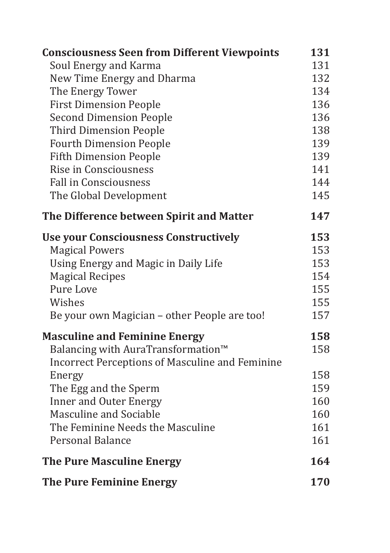| <b>Consciousness Seen from Different Viewpoints</b> | 131 |
|-----------------------------------------------------|-----|
| Soul Energy and Karma                               | 131 |
| New Time Energy and Dharma                          | 132 |
| The Energy Tower                                    | 134 |
| <b>First Dimension People</b>                       | 136 |
| <b>Second Dimension People</b>                      | 136 |
| <b>Third Dimension People</b>                       | 138 |
| <b>Fourth Dimension People</b>                      | 139 |
| <b>Fifth Dimension People</b>                       | 139 |
| Rise in Consciousness                               | 141 |
| <b>Fall in Consciousness</b>                        | 144 |
| The Global Development                              | 145 |
| The Difference between Spirit and Matter            | 147 |
| <b>Use your Consciousness Constructively</b>        | 153 |
| <b>Magical Powers</b>                               | 153 |
| Using Energy and Magic in Daily Life                | 153 |
| <b>Magical Recipes</b>                              | 154 |
| Pure Love                                           | 155 |
| Wishes                                              | 155 |
| Be your own Magician – other People are too!        | 157 |
| <b>Masculine and Feminine Energy</b>                | 158 |
| Balancing with AuraTransformation <sup>™</sup>      | 158 |
| Incorrect Perceptions of Masculine and Feminine     |     |
| Energy                                              | 158 |
| The Egg and the Sperm                               | 159 |
| <b>Inner and Outer Energy</b>                       | 160 |
| Masculine and Sociable                              | 160 |
| The Feminine Needs the Masculine                    | 161 |
| Personal Balance                                    | 161 |
| <b>The Pure Masculine Energy</b>                    | 164 |
| <b>The Pure Feminine Energy</b>                     | 170 |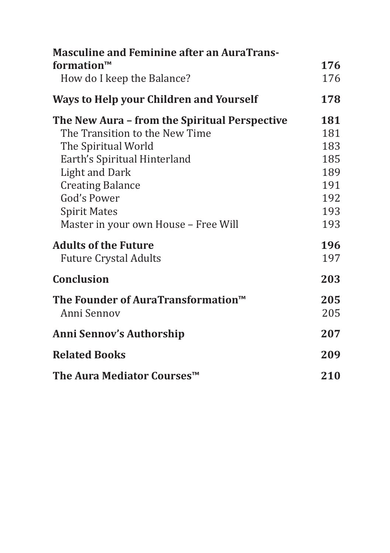| <b>Masculine and Feminine after an AuraTrans-</b> |     |
|---------------------------------------------------|-----|
| formation $\mathbf{m}$                            | 176 |
| How do I keep the Balance?                        | 176 |
| <b>Ways to Help your Children and Yourself</b>    | 178 |
| The New Aura - from the Spiritual Perspective     | 181 |
| The Transition to the New Time                    | 181 |
| The Spiritual World                               | 183 |
| Earth's Spiritual Hinterland                      | 185 |
| <b>Light and Dark</b>                             | 189 |
| <b>Creating Balance</b>                           | 191 |
| God's Power                                       | 192 |
| <b>Spirit Mates</b>                               | 193 |
| Master in your own House - Free Will              | 193 |
| <b>Adults of the Future</b>                       | 196 |
| <b>Future Crystal Adults</b>                      | 197 |
| <b>Conclusion</b>                                 | 203 |
| The Founder of AuraTransformation™                | 205 |
| Anni Sennov                                       | 205 |
| <b>Anni Sennov's Authorship</b>                   | 207 |
| <b>Related Books</b>                              | 209 |
| The Aura Mediator Courses™                        | 210 |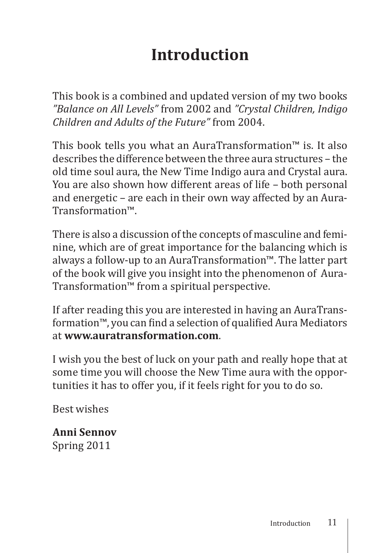# **Introduction**

This book is a combined and updated version of my two books *"Balance on All Levels"* from 2002 and *"Crystal Children, Indigo Children and Adults of the Future"* from 2004.

This book tells you what an AuraTransformation™ is. It also describes the difference between the three aura structures – the old time soul aura, the New Time Indigo aura and Crystal aura. You are also shown how different areas of life – both personal and energetic – are each in their own way affected by an Aura-Transformation™.

There is also a discussion of the concepts of masculine and feminine, which are of great importance for the balancing which is always a follow-up to an AuraTransformation™. The latter part of the book will give you insight into the phenomenon of Aura-Transformation™ from a spiritual perspective.

If after reading this you are interested in having an AuraTransformation™, you can find a selection of qualified Aura Mediators at **www.auratransformation.com**.

I wish you the best of luck on your path and really hope that at some time you will choose the New Time aura with the opportunities it has to offer you, if it feels right for you to do so.

Best wishes

**Anni Sennov** Spring 2011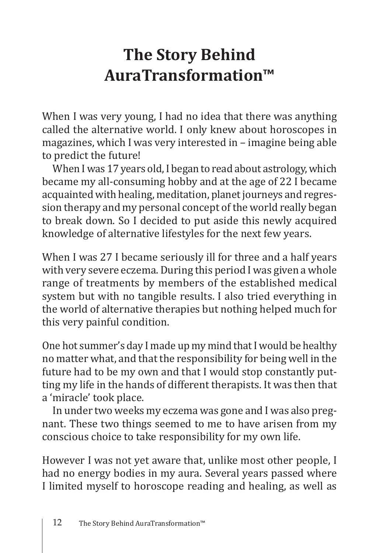### **The Story Behind AuraTransformation™**

When I was very young, I had no idea that there was anything called the alternative world. I only knew about horoscopes in magazines, which I was very interested in – imagine being able to predict the future!

When I was 17 years old, I began to read about astrology, which became my all-consuming hobby and at the age of 22 I became acquainted with healing, meditation, planet journeys and regression therapy and my personal concept of the world really began to break down. So I decided to put aside this newly acquired knowledge of alternative lifestyles for the next few years.

When I was 27 I became seriously ill for three and a half years with very severe eczema. During this period I was given a whole range of treatments by members of the established medical system but with no tangible results. I also tried everything in the world of alternative therapies but nothing helped much for this very painful condition.

One hot summer's day I made up my mind that I would be healthy no matter what, and that the responsibility for being well in the future had to be my own and that I would stop constantly putting my life in the hands of different therapists. It was then that a 'miracle' took place.

In under two weeks my eczema was gone and I was also pregnant. These two things seemed to me to have arisen from my conscious choice to take responsibility for my own life.

However I was not yet aware that, unlike most other people, I had no energy bodies in my aura. Several years passed where I limited myself to horoscope reading and healing, as well as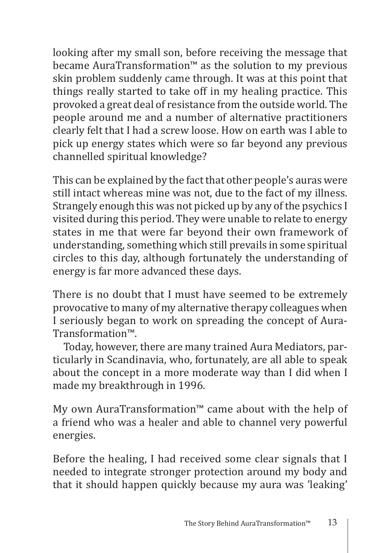looking after my small son, before receiving the message that became AuraTransformation™ as the solution to my previous skin problem suddenly came through. It was at this point that things really started to take off in my healing practice. This provoked a great deal of resistance from the outside world. The people around me and a number of alternative practitioners clearly felt that I had a screw loose. How on earth was I able to pick up energy states which were so far beyond any previous channelled spiritual knowledge?

This can be explained by the fact that other people's auras were still intact whereas mine was not, due to the fact of my illness. Strangely enough this was not picked up by any of the psychics I visited during this period. They were unable to relate to energy states in me that were far beyond their own framework of understanding, something which still prevails in some spiritual circles to this day, although fortunately the understanding of energy is far more advanced these days.

There is no doubt that I must have seemed to be extremely provocative to many of my alternative therapy colleagues when I seriously began to work on spreading the concept of Aura-Transformation™.

Today, however, there are many trained Aura Mediators, particularly in Scandinavia, who, fortunately, are all able to speak about the concept in a more moderate way than I did when I made my breakthrough in 1996.

My own AuraTransformation™ came about with the help of a friend who was a healer and able to channel very powerful energies.

Before the healing, I had received some clear signals that I needed to integrate stronger protection around my body and that it should happen quickly because my aura was 'leaking'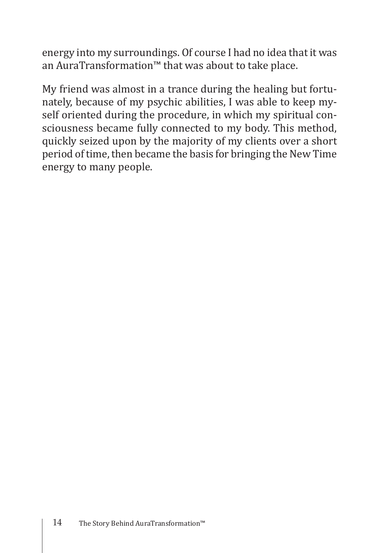energy into my surroundings. Of course I had no idea that it was an AuraTransformation™ that was about to take place.

My friend was almost in a trance during the healing but fortunately, because of my psychic abilities, I was able to keep myself oriented during the procedure, in which my spiritual consciousness became fully connected to my body. This method, quickly seized upon by the majority of my clients over a short period of time, then became the basis for bringing the New Time energy to many people.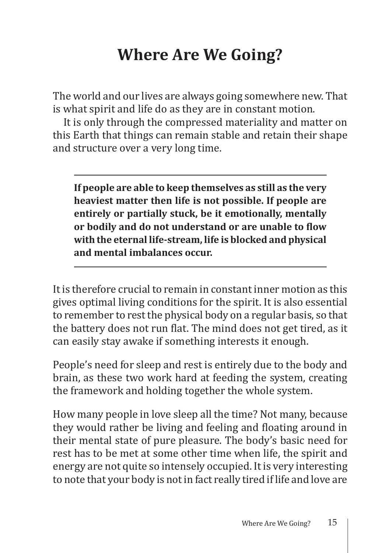## **Where Are We Going?**

The world and our lives are always going somewhere new. That is what spirit and life do as they are in constant motion.

It is only through the compressed materiality and matter on this Earth that things can remain stable and retain their shape and structure over a very long time.

**If people are able to keep themselves as still as the very heaviest matter then life is not possible. If people are entirely or partially stuck, be it emotionally, mentally or bodily and do not understand or are unable to flow with the eternal life-stream, life is blocked and physical and mental imbalances occur.**

It is therefore crucial to remain in constant inner motion as this gives optimal living conditions for the spirit. It is also essential to remember to rest the physical body on a regular basis, so that the battery does not run flat. The mind does not get tired, as it can easily stay awake if something interests it enough.

People's need for sleep and rest is entirely due to the body and brain, as these two work hard at feeding the system, creating the framework and holding together the whole system.

How many people in love sleep all the time? Not many, because they would rather be living and feeling and floating around in their mental state of pure pleasure. The body's basic need for rest has to be met at some other time when life, the spirit and energy are not quite so intensely occupied. It is very interesting to note that your body is not in fact really tired if life and love are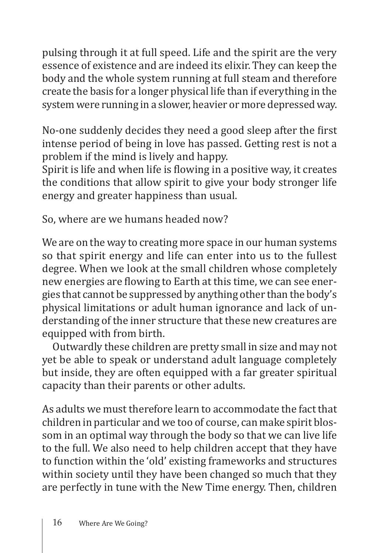pulsing through it at full speed. Life and the spirit are the very essence of existence and are indeed its elixir. They can keep the body and the whole system running at full steam and therefore create the basis for a longer physical life than if everything in the system were running in a slower, heavier or more depressed way.

No-one suddenly decides they need a good sleep after the first intense period of being in love has passed. Getting rest is not a problem if the mind is lively and happy.

Spirit is life and when life is flowing in a positive way, it creates the conditions that allow spirit to give your body stronger life energy and greater happiness than usual.

So, where are we humans headed now?

We are on the way to creating more space in our human systems so that spirit energy and life can enter into us to the fullest degree. When we look at the small children whose completely new energies are flowing to Earth at this time, we can see energies that cannot be suppressed by anything other than the body's physical limitations or adult human ignorance and lack of understanding of the inner structure that these new creatures are equipped with from birth.

Outwardly these children are pretty small in size and may not yet be able to speak or understand adult language completely but inside, they are often equipped with a far greater spiritual capacity than their parents or other adults.

As adults we must therefore learn to accommodate the fact that children in particular and we too of course, can make spirit blossom in an optimal way through the body so that we can live life to the full. We also need to help children accept that they have to function within the 'old' existing frameworks and structures within society until they have been changed so much that they are perfectly in tune with the New Time energy. Then, children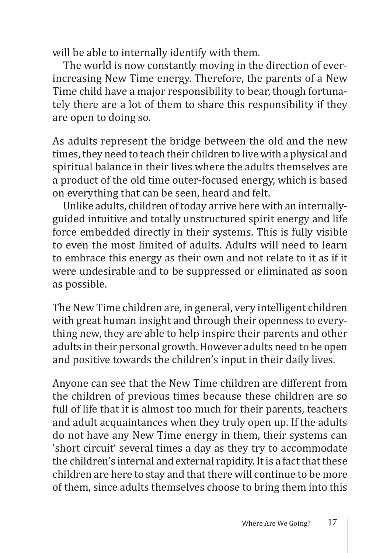will be able to internally identify with them.

The world is now constantly moving in the direction of everincreasing New Time energy. Therefore, the parents of a New Time child have a major responsibility to bear, though fortunately there are a lot of them to share this responsibility if they are open to doing so.

As adults represent the bridge between the old and the new times, they need to teach their children to live with a physical and spiritual balance in their lives where the adults themselves are a product of the old time outer-focused energy, which is based on everything that can be seen, heard and felt.

Unlike adults, children of today arrive here with an internallyguided intuitive and totally unstructured spirit energy and life force embedded directly in their systems. This is fully visible to even the most limited of adults. Adults will need to learn to embrace this energy as their own and not relate to it as if it were undesirable and to be suppressed or eliminated as soon as possible.

The New Time children are, in general, very intelligent children with great human insight and through their openness to everything new, they are able to help inspire their parents and other adults in their personal growth. However adults need to be open and positive towards the children's input in their daily lives.

Anyone can see that the New Time children are different from the children of previous times because these children are so full of life that it is almost too much for their parents, teachers and adult acquaintances when they truly open up. If the adults do not have any New Time energy in them, their systems can 'short circuit' several times a day as they try to accommodate the children's internal and external rapidity. It is a fact that these children are here to stay and that there will continue to be more of them, since adults themselves choose to bring them into this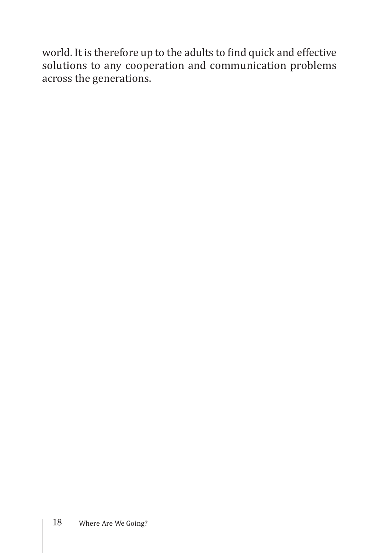world. It is therefore up to the adults to find quick and effective solutions to any cooperation and communication problems across the generations.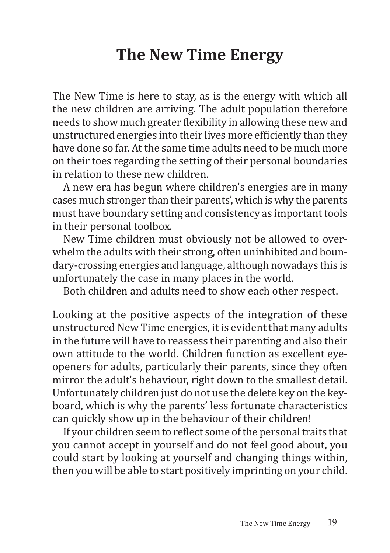### **The New Time Energy**

The New Time is here to stay, as is the energy with which all the new children are arriving. The adult population therefore needs to show much greater flexibility in allowing these new and unstructured energies into their lives more efficiently than they have done so far. At the same time adults need to be much more on their toes regarding the setting of their personal boundaries in relation to these new children.

A new era has begun where children's energies are in many cases much stronger than their parents', which is why the parents must have boundary setting and consistency as important tools in their personal toolbox.

New Time children must obviously not be allowed to overwhelm the adults with their strong, often uninhibited and boundary-crossing energies and language, although nowadays this is unfortunately the case in many places in the world.

Both children and adults need to show each other respect.

Looking at the positive aspects of the integration of these unstructured New Time energies, it is evident that many adults in the future will have to reassess their parenting and also their own attitude to the world. Children function as excellent eyeopeners for adults, particularly their parents, since they often mirror the adult's behaviour, right down to the smallest detail. Unfortunately children just do not use the delete key on the keyboard, which is why the parents' less fortunate characteristics can quickly show up in the behaviour of their children!

If your children seem to reflect some of the personal traits that you cannot accept in yourself and do not feel good about, you could start by looking at yourself and changing things within, then you will be able to start positively imprinting on your child.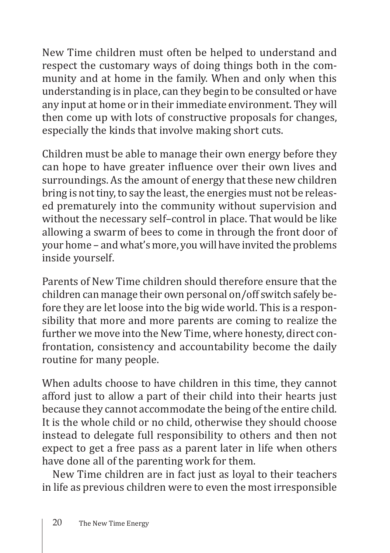New Time children must often be helped to understand and respect the customary ways of doing things both in the community and at home in the family. When and only when this understanding is in place, can they begin to be consulted or have any input at home or in their immediate environment. They will then come up with lots of constructive proposals for changes, especially the kinds that involve making short cuts.

Children must be able to manage their own energy before they can hope to have greater influence over their own lives and surroundings. As the amount of energy that these new children bring is not tiny, to say the least, the energies must not be released prematurely into the community without supervision and without the necessary self–control in place. That would be like allowing a swarm of bees to come in through the front door of your home – and what's more, you will have invited the problems inside yourself.

Parents of New Time children should therefore ensure that the children can manage their own personal on/off switch safely before they are let loose into the big wide world. This is a responsibility that more and more parents are coming to realize the further we move into the New Time, where honesty, direct confrontation, consistency and accountability become the daily routine for many people.

When adults choose to have children in this time, they cannot afford just to allow a part of their child into their hearts just because they cannot accommodate the being of the entire child. It is the whole child or no child, otherwise they should choose instead to delegate full responsibility to others and then not expect to get a free pass as a parent later in life when others have done all of the parenting work for them.

New Time children are in fact just as loyal to their teachers in life as previous children were to even the most irresponsible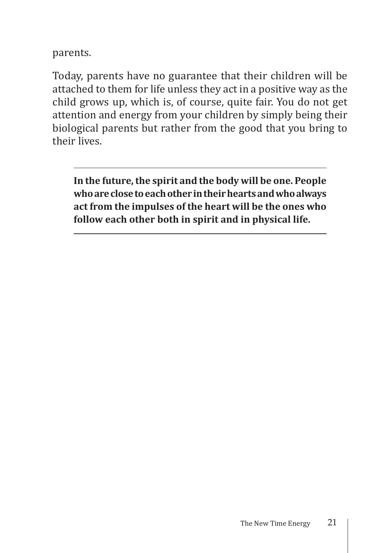parents.

Today, parents have no guarantee that their children will be attached to them for life unless they act in a positive way as the child grows up, which is, of course, quite fair. You do not get attention and energy from your children by simply being their biological parents but rather from the good that you bring to their lives.

**In the future, the spirit and the body will be one. People who are close to each other in their hearts and who always act from the impulses of the heart will be the ones who follow each other both in spirit and in physical life.**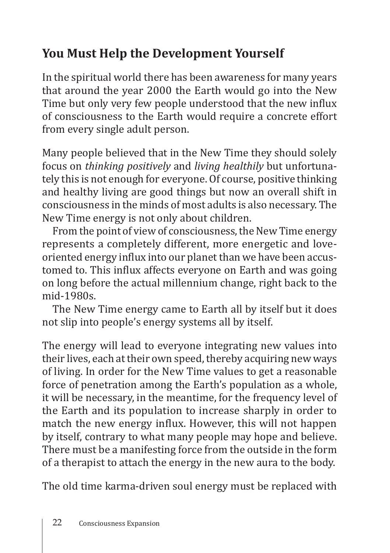### **You Must Help the Development Yourself**

In the spiritual world there has been awareness for many years that around the year 2000 the Earth would go into the New Time but only very few people understood that the new influx of consciousness to the Earth would require a concrete effort from every single adult person.

Many people believed that in the New Time they should solely focus on *thinking positively* and *living healthily* but unfortunately this is not enough for everyone. Of course, positive thinking and healthy living are good things but now an overall shift in consciousness in the minds of most adults is also necessary. The New Time energy is not only about children.

From the point of view of consciousness, the New Time energy represents a completely different, more energetic and loveoriented energy influx into our planet than we have been accustomed to. This influx affects everyone on Earth and was going on long before the actual millennium change, right back to the mid-1980s.

The New Time energy came to Earth all by itself but it does not slip into people's energy systems all by itself.

The energy will lead to everyone integrating new values into their lives, each at their own speed, thereby acquiring new ways of living. In order for the New Time values to get a reasonable force of penetration among the Earth's population as a whole, it will be necessary, in the meantime, for the frequency level of the Earth and its population to increase sharply in order to match the new energy influx. However, this will not happen by itself, contrary to what many people may hope and believe. There must be a manifesting force from the outside in the form of a therapist to attach the energy in the new aura to the body.

The old time karma-driven soul energy must be replaced with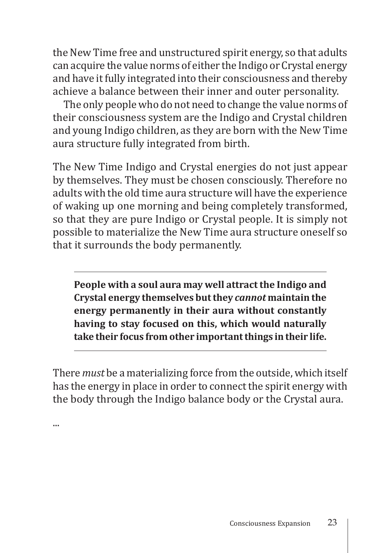the New Time free and unstructured spirit energy, so that adults can acquire the value norms of either the Indigo or Crystal energy and have it fully integrated into their consciousness and thereby achieve a balance between their inner and outer personality.

The only people who do not need to change the value norms of their consciousness system are the Indigo and Crystal children and young Indigo children, as they are born with the New Time aura structure fully integrated from birth.

The New Time Indigo and Crystal energies do not just appear by themselves. They must be chosen consciously. Therefore no adults with the old time aura structure will have the experience of waking up one morning and being completely transformed, so that they are pure Indigo or Crystal people. It is simply not possible to materialize the New Time aura structure oneself so that it surrounds the body permanently.

**People with a soul aura may well attract the Indigo and Crystal energy themselves but they** *cannot* **maintain the energy permanently in their aura without constantly having to stay focused on this, which would naturally take their focus from other important things in their life.**

There *must* be a materializing force from the outside, which itself has the energy in place in order to connect the spirit energy with the body through the Indigo balance body or the Crystal aura.

...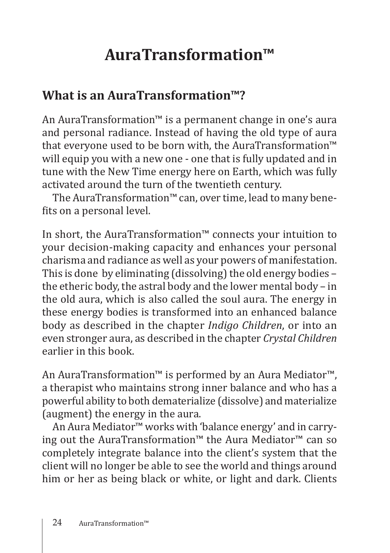# **AuraTransformation™**

### **What is an AuraTransformation™?**

An AuraTransformation™ is a permanent change in one's aura and personal radiance. Instead of having the old type of aura that everyone used to be born with, the AuraTransformation™ will equip you with a new one - one that is fully updated and in tune with the New Time energy here on Earth, which was fully activated around the turn of the twentieth century.

The AuraTransformation™ can, over time, lead to many benefits on a personal level.

In short, the AuraTransformation™ connects your intuition to your decision-making capacity and enhances your personal charisma and radiance as well as your powers of manifestation. This is done by eliminating (dissolving) the old energy bodies – the etheric body, the astral body and the lower mental body – in the old aura, which is also called the soul aura. The energy in these energy bodies is transformed into an enhanced balance body as described in the chapter *Indigo Children*, or into an even stronger aura, as described in the chapter *Crystal Children* earlier in this book.

An AuraTransformation™ is performed by an Aura Mediator™, a therapist who maintains strong inner balance and who has a powerful ability to both dematerialize (dissolve) and materialize (augment) the energy in the aura.

An Aura Mediator™ works with 'balance energy' and in carrying out the AuraTransformation™ the Aura Mediator™ can so completely integrate balance into the client's system that the client will no longer be able to see the world and things around him or her as being black or white, or light and dark. Clients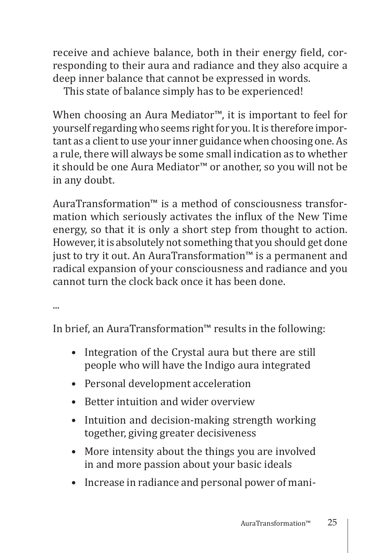receive and achieve balance, both in their energy field, corresponding to their aura and radiance and they also acquire a deep inner balance that cannot be expressed in words.

This state of balance simply has to be experienced!

When choosing an Aura Mediator™, it is important to feel for yourself regarding who seems right for you. It is therefore important as a client to use your inner guidance when choosing one. As a rule, there will always be some small indication as to whether it should be one Aura Mediator™ or another, so you will not be in any doubt.

AuraTransformation™ is a method of consciousness transformation which seriously activates the influx of the New Time energy, so that it is only a short step from thought to action. However, it is absolutely not something that you should get done just to try it out. An AuraTransformation™ is a permanent and radical expansion of your consciousness and radiance and you cannot turn the clock back once it has been done.

...

In brief, an AuraTransformation™ results in the following:

- Integration of the Crystal aura but there are still people who will have the Indigo aura integrated
- Personal development acceleration
- Better intuition and wider overview
- Intuition and decision-making strength working together, giving greater decisiveness
- More intensity about the things you are involved in and more passion about your basic ideals
- Increase in radiance and personal power of mani-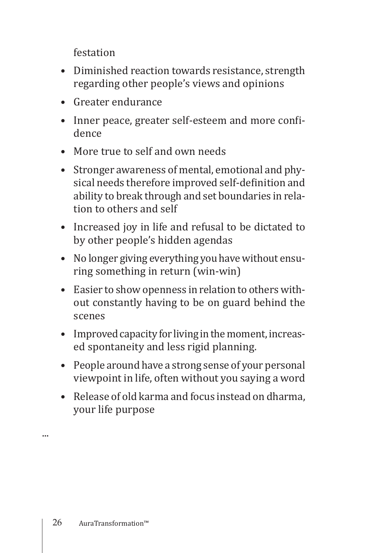festation

- Diminished reaction towards resistance, strength regarding other people's views and opinions
- Greater endurance
- Inner peace, greater self-esteem and more confidence
- More true to self and own needs
- Stronger awareness of mental, emotional and physical needs therefore improved self-definition and ability to break through and set boundaries in relation to others and self
- Increased joy in life and refusal to be dictated to by other people's hidden agendas
- No longer giving everything you have without ensuring something in return (win-win)
- Easier to show openness in relation to others without constantly having to be on guard behind the scenes
- Improved capacity for living in the moment, increased spontaneity and less rigid planning.
- People around have a strong sense of your personal viewpoint in life, often without you saying a word
- Release of old karma and focus instead on dharma, your life purpose

...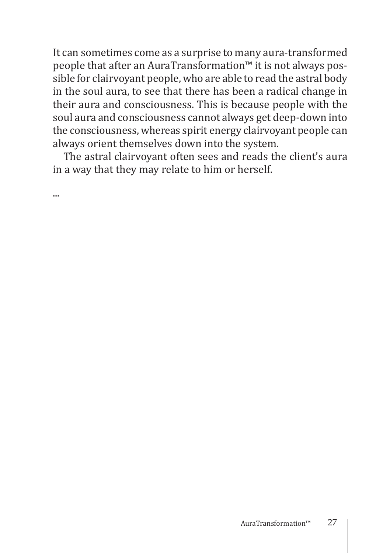It can sometimes come as a surprise to many aura-transformed people that after an AuraTransformation™ it is not always possible for clairvoyant people, who are able to read the astral body in the soul aura, to see that there has been a radical change in their aura and consciousness. This is because people with the soul aura and consciousness cannot always get deep-down into the consciousness, whereas spirit energy clairvoyant people can always orient themselves down into the system.

The astral clairvoyant often sees and reads the client's aura in a way that they may relate to him or herself.

...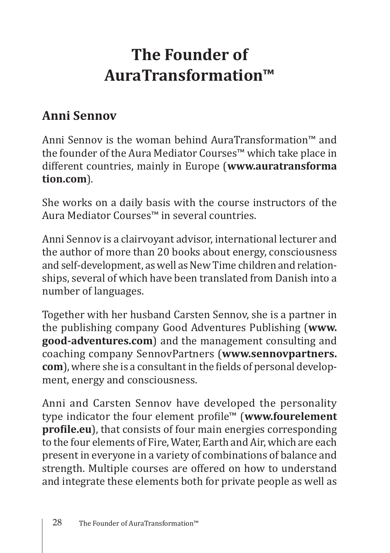## **The Founder of AuraTransformation™**

### **Anni Sennov**

Anni Sennov is the woman behind AuraTransformation™ and the founder of the Aura Mediator Courses™ which take place in different countries, mainly in Europe (**www.auratransforma tion.com**).

She works on a daily basis with the course instructors of the Aura Mediator Courses™ in several countries.

Anni Sennov is a clairvoyant advisor, international lecturer and the author of more than 20 books about energy, consciousness and self-development, as well as New Time children and relationships, several of which have been translated from Danish into a number of languages.

Together with her husband Carsten Sennov, she is a partner in the publishing company Good Adventures Publishing (**www. good-adventures.com**) and the management consulting and coaching company SennovPartners (**www.sennovpartners. com**), where she is a consultant in the fields of personal development, energy and consciousness.

Anni and Carsten Sennov have developed the personality type indicator the four element profile™ (**www.fourelement profile.eu**), that consists of four main energies corresponding to the four elements of Fire, Water, Earth and Air, which are each present in everyone in a variety of combinations of balance and strength. Multiple courses are offered on how to understand and integrate these elements both for private people as well as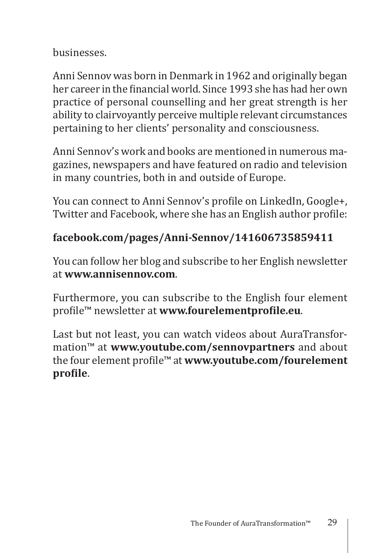businesses.

Anni Sennov was born in Denmark in 1962 and originally began her career in the financial world. Since 1993 she has had her own practice of personal counselling and her great strength is her ability to clairvoyantly perceive multiple relevant circumstances pertaining to her clients' personality and consciousness.

Anni Sennov's work and books are mentioned in numerous magazines, newspapers and have featured on radio and television in many countries, both in and outside of Europe.

You can connect to Anni Sennov's profile on LinkedIn, Google+, Twitter and Facebook, where she has an English author profile:

#### **facebook.com/pages/Anni-Sennov/141606735859411**

You can follow her blog and subscribe to her English newsletter at **www.annisennov.com**.

Furthermore, you can subscribe to the English four element profile™ newsletter at **www.fourelementprofile.eu**.

Last but not least, you can watch videos about AuraTransformation™ at **www.youtube.com/sennovpartners** and about the four element profile™ at **www.youtube.com/fourelement profile**.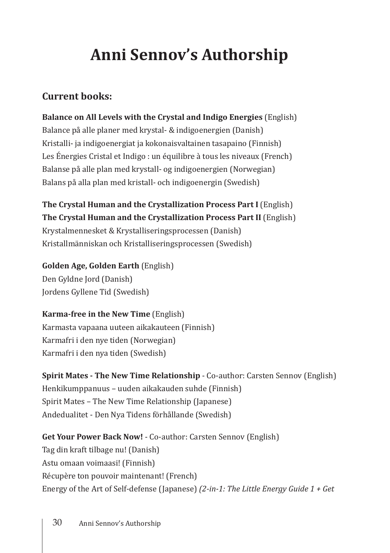# **Anni Sennov's Authorship**

#### **Current books:**

**Balance on All Levels with the Crystal and Indigo Energies** (English) Balance på alle planer med krystal- & indigoenergien (Danish) Kristalli- ja indigoenergiat ja kokonaisvaltainen tasapaino (Finnish) Les Énergies Cristal et Indigo : un équilibre à tous les niveaux (French) Balanse på alle plan med krystall- og indigoenergien (Norwegian) Balans på alla plan med kristall- och indigoenergin (Swedish)

**The Crystal Human and the Crystallization Process Part I** (English) **The Crystal Human and the Crystallization Process Part II** (English) Krystalmennesket & Krystalliseringsprocessen (Danish) Kristallmänniskan och Kristalliseringsprocessen (Swedish)

**Golden Age, Golden Earth** (English) Den Gyldne Jord (Danish) Jordens Gyllene Tid (Swedish)

#### **Karma-free in the New Time** (English)

Karmasta vapaana uuteen aikakauteen (Finnish) Karmafri i den nye tiden (Norwegian) Karmafri i den nya tiden (Swedish)

**Spirit Mates - The New Time Relationship** - Co-author: Carsten Sennov (English) Henkikumppanuus – uuden aikakauden suhde (Finnish) Spirit Mates – The New Time Relationship (Japanese) Andedualitet - Den Nya Tidens förhållande (Swedish)

**Get Your Power Back Now!** - Co-author: Carsten Sennov (English) Tag din kraft tilbage nu! (Danish) Astu omaan voimaasi! (Finnish) Récupère ton pouvoir maintenant! (French) Energy of the Art of Self-defense (Japanese) *(2-in-1: The Little Energy Guide 1 + Get*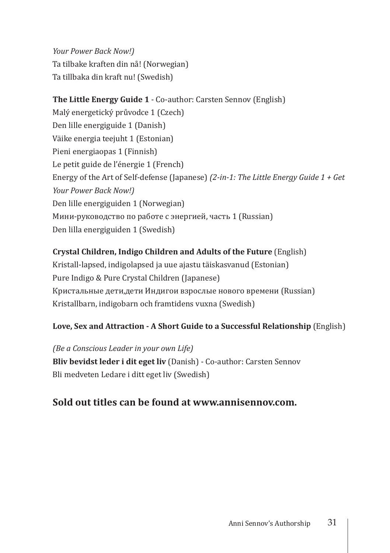*Your Power Back Now!)* Ta tilbake kraften din nå! (Norwegian) Ta tillbaka din kraft nu! (Swedish)

#### **The Little Energy Guide 1** - Co-author: Carsten Sennov (English)

Malý energetický průvodce 1 (Czech) Den lille energiguide 1 (Danish) Väike energia teejuht 1 (Estonian) Pieni energiaopas 1 (Finnish) Le petit guide de l'énergie 1 (French) Energy of the Art of Self-defense (Japanese) *(2-in-1: The Little Energy Guide 1 + Get Your Power Back Now!)* Den lille energiguiden 1 (Norwegian) Мини-руководство по работе с энергией, часть 1 (Russian) Den lilla energiguiden 1 (Swedish)

#### **Crystal Children, Indigo Children and Adults of the Future** (English)

Kristall-lapsed, indigolapsed ja uue ajastu täiskasvanud (Estonian) Pure Indigo & Pure Crystal Children (Japanese) Кристальные дети,дети Индигои взрослые нового времени (Russian) Kristallbarn, indigobarn och framtidens vuxna (Swedish)

#### **Love, Sex and Attraction - A Short Guide to a Successful Relationship** (English)

*(Be a Conscious Leader in your own Life)*  **Bliv bevidst leder i dit eget liv** (Danish) - Co-author: Carsten Sennov Bli medveten Ledare i ditt eget liv (Swedish)

#### **Sold out titles can be found at www.annisennov.com.**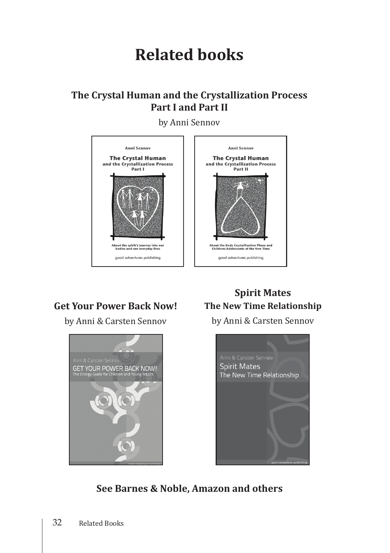### **Related books**

#### **The Crystal Human and the Crystallization Process Part I and Part II**

by Anni Sennov



#### **Get Your Power Back Now!**

by Anni & Carsten Sennov



#### **Spirit Mates The New Time Relationship**

by Anni & Carsten Sennov



**See Barnes & Noble, Amazon and others**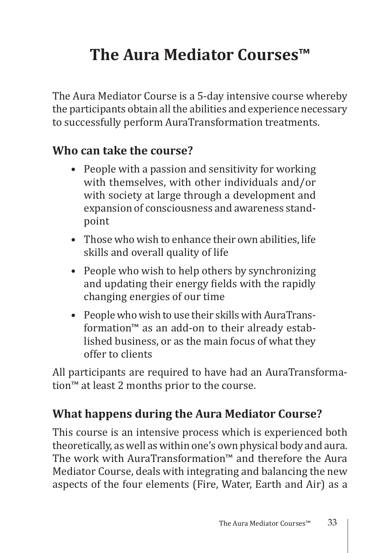# **The Aura Mediator Courses™**

The Aura Mediator Course is a 5-day intensive course whereby the participants obtain all the abilities and experience necessary to successfully perform AuraTransformation treatments.

#### **Who can take the course?**

- People with a passion and sensitivity for working with themselves, with other individuals and/or with society at large through a development and expansion of consciousness and awareness standpoint
- Those who wish to enhance their own abilities, life skills and overall quality of life
- People who wish to help others by synchronizing and updating their energy fields with the rapidly changing energies of our time
- People who wish to use their skills with AuraTransformation™ as an add-on to their already established business, or as the main focus of what they offer to clients

All participants are required to have had an AuraTransformation™ at least 2 months prior to the course.

#### **What happens during the Aura Mediator Course?**

This course is an intensive process which is experienced both theoretically, as well as within one's own physical body and aura. The work with AuraTransformation™ and therefore the Aura Mediator Course, deals with integrating and balancing the new aspects of the four elements (Fire, Water, Earth and Air) as a